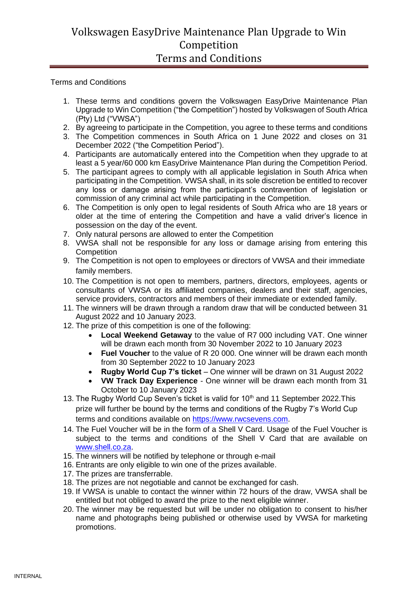## Volkswagen EasyDrive Maintenance Plan Upgrade to Win Competition Terms and Conditions

Terms and Conditions

- 1. These terms and conditions govern the Volkswagen EasyDrive Maintenance Plan Upgrade to Win Competition ("the Competition") hosted by Volkswagen of South Africa (Pty) Ltd ("VWSA")
- 2. By agreeing to participate in the Competition, you agree to these terms and conditions
- 3. The Competition commences in South Africa on 1 June 2022 and closes on 31 December 2022 ("the Competition Period").
- 4. Participants are automatically entered into the Competition when they upgrade to at least a 5 year/60 000 km EasyDrive Maintenance Plan during the Competition Period.
- 5. The participant agrees to comply with all applicable legislation in South Africa when participating in the Competition. VWSA shall, in its sole discretion be entitled to recover any loss or damage arising from the participant's contravention of legislation or commission of any criminal act while participating in the Competition.
- 6. The Competition is only open to legal residents of South Africa who are 18 years or older at the time of entering the Competition and have a valid driver's licence in possession on the day of the event.
- 7. Only natural persons are allowed to enter the Competition
- 8. VWSA shall not be responsible for any loss or damage arising from entering this **Competition**
- 9. The Competition is not open to employees or directors of VWSA and their immediate family members.
- 10. The Competition is not open to members, partners, directors, employees, agents or consultants of VWSA or its affiliated companies, dealers and their staff, agencies, service providers, contractors and members of their immediate or extended family.
- 11. The winners will be drawn through a random draw that will be conducted between 31 August 2022 and 10 January 2023.
- 12. The prize of this competition is one of the following:
	- **Local Weekend Getaway** to the value of R7 000 including VAT. One winner will be drawn each month from 30 November 2022 to 10 January 2023
	- **Fuel Voucher** to the value of R 20 000. One winner will be drawn each month from 30 September 2022 to 10 January 2023
	- **Rugby World Cup 7's ticket** One winner will be drawn on 31 August 2022
	- **VW Track Day Experience** One winner will be drawn each month from 31 October to 10 January 2023
- 13. The Rugby World Cup Seven's ticket is valid for 10<sup>th</sup> and 11 September 2022. This prize will further be bound by the terms and conditions of the Rugby 7's World Cup terms and conditions available on [https://www.rwcsevens.com.](https://www.rwcsevens.com/)
- 14. The Fuel Voucher will be in the form of a Shell V Card. Usage of the Fuel Voucher is subject to the terms and conditions of the Shell V Card that are available on [www.shell.co.za.](http://www.shell.co.za/)
- 15. The winners will be notified by telephone or through e-mail
- 16. Entrants are only eligible to win one of the prizes available.
- 17. The prizes are transferrable.
- 18. The prizes are not negotiable and cannot be exchanged for cash.
- 19. If VWSA is unable to contact the winner within 72 hours of the draw, VWSA shall be entitled but not obliged to award the prize to the next eligible winner.
- 20. The winner may be requested but will be under no obligation to consent to his/her name and photographs being published or otherwise used by VWSA for marketing promotions.